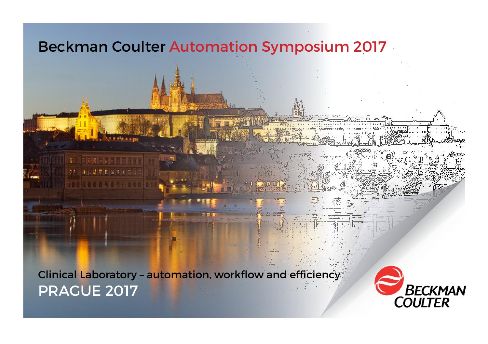

Clinical Laboratory – automation, workflow and efficiency PRAGUE 2017